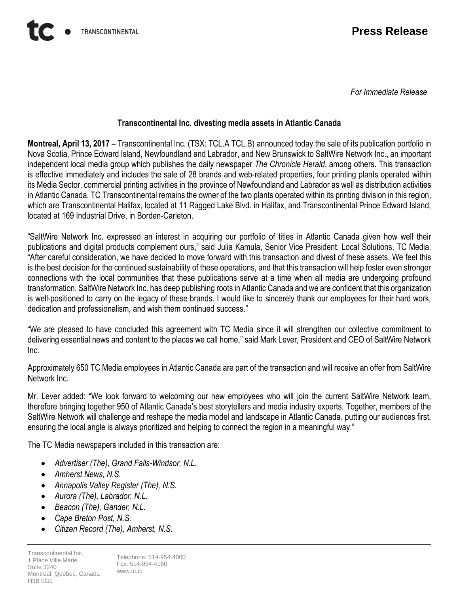*For Immediate Release*

## **Transcontinental Inc. divesting media assets in Atlantic Canada**

**Montreal, April 13, 2017 –** Transcontinental Inc. (TSX: TCL.A TCL.B) announced today the sale of its publication portfolio in Nova Scotia, Prince Edward Island, Newfoundland and Labrador, and New Brunswick to SaltWire Network Inc., an important independent local media group which publishes the daily newspaper *The Chronicle Herald*, among others. This transaction is effective immediately and includes the sale of 28 brands and web-related properties, four printing plants operated within its Media Sector, commercial printing activities in the province of Newfoundland and Labrador as well as distribution activities in Atlantic Canada. TC Transcontinental remains the owner of the two plants operated within its printing division in this region, which are Transcontinental Halifax, located at 11 Ragged Lake Blvd. in Halifax, and Transcontinental Prince Edward Island, located at 169 Industrial Drive, in Borden-Carleton.

"SaltWire Network Inc. expressed an interest in acquiring our portfolio of titles in Atlantic Canada given how well their publications and digital products complement ours," said Julia Kamula, Senior Vice President, Local Solutions, TC Media. "After careful consideration, we have decided to move forward with this transaction and divest of these assets. We feel this is the best decision for the continued sustainability of these operations, and that this transaction will help foster even stronger connections with the local communities that these publications serve at a time when all media are undergoing profound transformation. SaltWire Network Inc. has deep publishing roots in Atlantic Canada and we are confident that this organization is well-positioned to carry on the legacy of these brands. I would like to sincerely thank our employees for their hard work, dedication and professionalism, and wish them continued success."

"We are pleased to have concluded this agreement with TC Media since it will strengthen our collective commitment to delivering essential news and content to the places we call home," said Mark Lever*,* President and CEO of SaltWire Network Inc.

Approximately 650 TC Media employees in Atlantic Canada are part of the transaction and will receive an offer from SaltWire Network Inc.

Mr. Lever added: "We look forward to welcoming our new employees who will join the current SaltWire Network team, therefore bringing together 950 of Atlantic Canada's best storytellers and media industry experts. Together, members of the SaltWire Network will challenge and reshape the media model and landscape in Atlantic Canada, putting our audiences first, ensuring the local angle is always prioritized and helping to connect the region in a meaningful way."

The TC Media newspapers included in this transaction are:

- *Advertiser (The), Grand Falls-Windsor, N.L.*
- *Amherst News, N.S.*
- *Annapolis Valley Register (The), N.S.*
- *Aurora (The), Labrador, N.L.*
- *Beacon (The), Gander, N.L.*
- *Cape Breton Post, N.S.*
- *Citizen Record (The), Amherst, N.S.*

Transcontinental Inc. 1 Place Ville Marie Suite 3240 Montreal, Quebec, Canada H3B 0G1

Telephone: 514-954-4000 Fax: 514-954-4160 www.tc.tc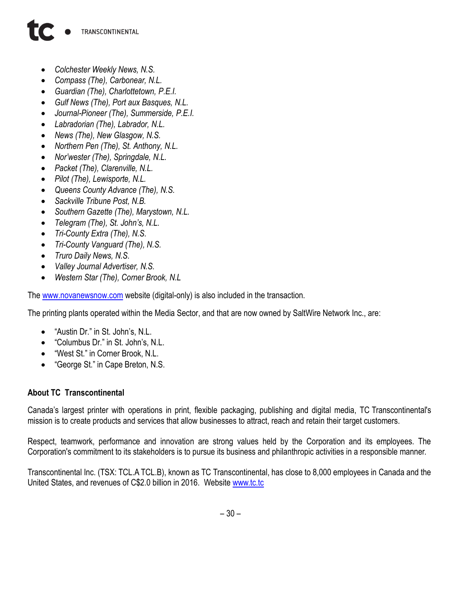## TRANSCONTINENTAL

- *Colchester Weekly News, N.S.*
- *Compass (The), Carbonear, N.L.*
- *Guardian (The), Charlottetown, P.E.I.*
- *Gulf News (The), Port aux Basques, N.L.*
- *Journal-Pioneer (The), Summerside, P.E.I.*
- *Labradorian (The), Labrador, N.L.*
- *News (The), New Glasgow, N.S.*
- *Northern Pen (The), St. Anthony, N.L.*
- *Nor'wester (The), Springdale, N.L.*
- *Packet (The), Clarenville, N.L.*
- *Pilot (The), Lewisporte, N.L.*
- *Queens County Advance (The), N.S.*
- *Sackville Tribune Post, N.B.*
- *Southern Gazette (The), Marystown, N.L.*
- *Telegram (The), St. John's, N.L.*
- *Tri-County Extra (The), N.S.*
- *Tri-County Vanguard (The), N.S.*
- *Truro Daily News, N.S.*
- *Valley Journal Advertiser, N.S.*
- *Western Star (The), Corner Brook, N.L*

The [www.novanewsnow.com](http://www.novanewsnow.com/) website (digital-only) is also included in the transaction.

The printing plants operated within the Media Sector, and that are now owned by SaltWire Network Inc., are:

- "Austin Dr." in St. John's, N.L.
- "Columbus Dr." in St. John's, N.L.
- "West St." in Corner Brook, N.L.
- "George St." in Cape Breton, N.S.

## **About TC Transcontinental**

Canada's largest printer with operations in print, flexible packaging, publishing and digital media, TC Transcontinental's mission is to create products and services that allow businesses to attract, reach and retain their target customers.

Respect, teamwork, performance and innovation are strong values held by the Corporation and its employees. The Corporation's commitment to its stakeholders is to pursue its business and philanthropic activities in a responsible manner.

Transcontinental Inc. (TSX: TCL.A TCL.B), known as TC Transcontinental, has close to 8,000 employees in Canada and the United States, and revenues of C\$2.0 billion in 2016. Website www.tc.tc